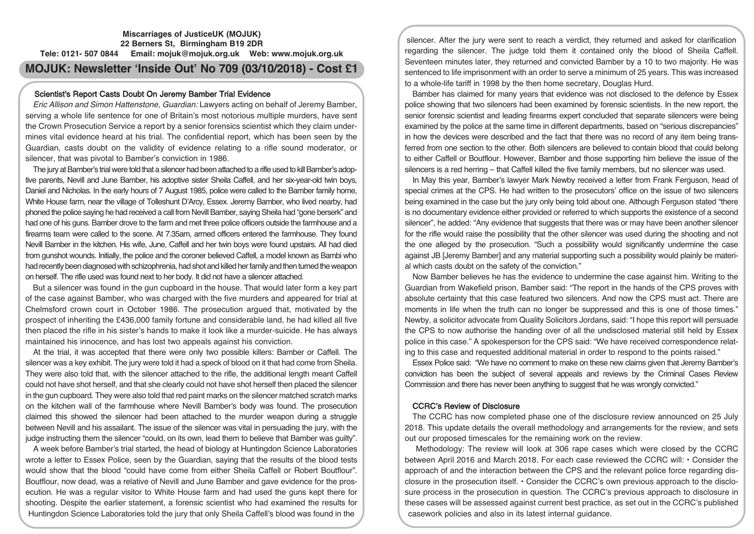# **Miscarriages of JusticeUK (MOJUK) 22 Berners St, Birmingham B19 2DR Tele: 0121- 507 0844 Email: mojuk@mojuk.org.uk Web: www.mojuk.org.uk MOJUK: Newsletter 'Inside Out' No 709 (03/10/2018) - Cost £1**

# Scientist's Report Casts Doubt On Jeremy Bamber Trial Evidence

Eric Allison and Simon Hattenstone, Guardian: Lawyers acting on behalf of Jeremy Bamber, serving a whole life sentence for one of Britain's most notorious multiple murders, have sent the Crown Prosecution Service a report by a senior forensics scientist which they claim undermines vital evidence heard at his trial. The confidential report, which has been seen by the Guardian, casts doubt on the validity of evidence relating to a rifle sound moderator, or silencer, that was pivotal to Bamber's conviction in 1986.

The jury at Bamber's trial were told that a silencer had been attached to a rifle used to kill Bamber's adoptive parents, Nevill and June Bamber, his adoptive sister Sheila Caffell, and her six-year-old twin boys, Daniel and Nicholas. In the early hours of 7 August 1985, police were called to the Bamber family home, White House farm, near the village of Tolleshunt D'Arcy, Essex. Jeremy Bamber, who lived nearby, had phoned the police saying he had received a call from Nevill Bamber, saying Sheila had "gone berserk" and had one of his guns. Bamber drove to the farm and met three police officers outside the farmhouse and a firearms team were called to the scene. At 7.35am, armed officers entered the farmhouse. They found Nevill Bamber in the kitchen. His wife, June, Caffell and her twin boys were found upstairs. All had died from gunshot wounds. Initially, the police and the coroner believed Caffell, a model known as Bambi who had recently been diagnosed with schizophrenia, had shot and killed her family and then turned the weapon on herself. The rifle used was found next to her body. It did not have a silencer attached.

But a silencer was found in the gun cupboard in the house. That would later form a key part of the case against Bamber, who was charged with the five murders and appeared for trial at Chelmsford crown court in October 1986. The prosecution argued that, motivated by the prospect of inheriting the £436,000 family fortune and considerable land, he had killed all five then placed the rifle in his sister's hands to make it look like a murder-suicide. He has always maintained his innocence, and has lost two appeals against his conviction.

At the trial, it was accepted that there were only two possible killers: Bamber or Caffell. The silencer was a key exhibit. The jury were told it had a speck of blood on it that had come from Sheila. They were also told that, with the silencer attached to the rifle, the additional length meant Caffell could not have shot herself, and that she clearly could not have shot herself then placed the silencer in the gun cupboard. They were also told that red paint marks on the silencer matched scratch marks on the kitchen wall of the farmhouse where Nevill Bamber's body was found. The prosecution claimed this showed the silencer had been attached to the murder weapon during a struggle between Nevill and his assailant. The issue of the silencer was vital in persuading the jury, with the judge instructing them the silencer "could, on its own, lead them to believe that Bamber was guilty".

A week before Bamber's trial started, the head of biology at Huntingdon Science Laboratories wrote a letter to Essex Police, seen by the Guardian, saying that the results of the blood tests would show that the blood "could have come from either Sheila Caffell or Robert Boutflour". Boutflour, now dead, was a relative of Nevill and June Bamber and gave evidence for the prosecution. He was a regular visitor to White House farm and had used the guns kept there for shooting. Despite the earlier statement, a forensic scientist who had examined the results for Huntingdon Science Laboratories told the jury that only Sheila Caffell's blood was found in the

silencer. After the jury were sent to reach a verdict, they returned and asked for clarification regarding the silencer. The judge told them it contained only the blood of Sheila Caffell. Seventeen minutes later, they returned and convicted Bamber by a 10 to two majority. He was sentenced to life imprisonment with an order to serve a minimum of 25 years. This was increased to a whole-life tariff in 1998 by the then home secretary, Douglas Hurd.

Bamber has claimed for many years that evidence was not disclosed to the defence by Essex police showing that two silencers had been examined by forensic scientists. In the new report, the senior forensic scientist and leading firearms expert concluded that separate silencers were being examined by the police at the same time in different departments, based on "serious discrepancies" in how the devices were described and the fact that there was no record of any item being transferred from one section to the other. Both silencers are believed to contain blood that could belong to either Caffell or Boutflour. However, Bamber and those supporting him believe the issue of the silencers is a red herring – that Caffell killed the five family members, but no silencer was used.

In May this year, Bamber's lawyer Mark Newby received a letter from Frank Ferguson, head of special crimes at the CPS. He had written to the prosecutors' office on the issue of two silencers being examined in the case but the jury only being told about one. Although Ferguson stated "there is no documentary evidence either provided or referred to which supports the existence of a second silencer", he added: "Any evidence that suggests that there was or may have been another silencer for the rifle would raise the possibility that the other silencer was used during the shooting and not the one alleged by the prosecution. "Such a possibility would significantly undermine the case against JB [Jeremy Bamber] and any material supporting such a possibility would plainly be material which casts doubt on the safety of the conviction."

Now Bamber believes he has the evidence to undermine the case against him. Writing to the Guardian from Wakefield prison, Bamber said: "The report in the hands of the CPS proves with absolute certainty that this case featured two silencers. And now the CPS must act. There are moments in life when the truth can no longer be suppressed and this is one of those times." Newby, a solicitor advocate from Quality Solicitors Jordans, said: "I hope this report will persuade the CPS to now authorise the handing over of all the undisclosed material still held by Essex police in this case." A spokesperson for the CPS said: "We have received correspondence relating to this case and requested additional material in order to respond to the points raised."

Essex Police said: "We have no comment to make on these new claims given that Jeremy Bamber's conviction has been the subject of several appeals and reviews by the Criminal Cases Review Commission and there has never been anything to suggest that he was wrongly convicted."

# CCRC's Review of Disclosure

The CCRC has now completed phase one of the disclosure review announced on 25 July 2018. This update details the overall methodology and arrangements for the review, and sets out our proposed timescales for the remaining work on the review.

Methodology: The review will look at 306 rape cases which were closed by the CCRC between April 2016 and March 2018. For each case reviewed the CCRC will: • Consider the approach of and the interaction between the CPS and the relevant police force regarding disclosure in the prosecution itself. • Consider the CCRC's own previous approach to the disclosure process in the prosecution in question. The CCRC's previous approach to disclosure in these cases will be assessed against current best practice, as set out in the CCRC's published casework policies and also in its latest internal guidance.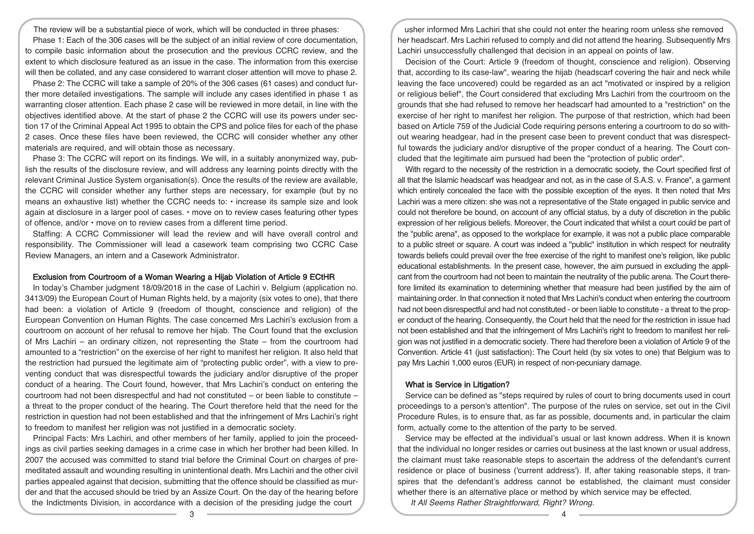The review will be a substantial piece of work, which will be conducted in three phases: Phase 1: Each of the 306 cases will be the subject of an initial review of core documentation, to compile basic information about the prosecution and the previous CCRC review, and the extent to which disclosure featured as an issue in the case. The information from this exercise will then be collated, and any case considered to warrant closer attention will move to phase 2.

Phase 2: The CCRC will take a sample of 20% of the 306 cases (61 cases) and conduct further more detailed investigations. The sample will include any cases identified in phase 1 as warranting closer attention. Each phase 2 case will be reviewed in more detail, in line with the objectives identified above. At the start of phase 2 the CCRC will use its powers under section 17 of the Criminal Appeal Act 1995 to obtain the CPS and police files for each of the phase 2 cases. Once these files have been reviewed, the CCRC will consider whether any other materials are required, and will obtain those as necessary.

Phase 3: The CCRC will report on its findings. We will, in a suitably anonymized way, publish the results of the disclosure review, and will address any learning points directly with the relevant Criminal Justice System organisation(s). Once the results of the review are available, the CCRC will consider whether any further steps are necessary, for example (but by no means an exhaustive list) whether the CCRC needs to: • increase its sample size and look again at disclosure in a larger pool of cases. • move on to review cases featuring other types of offence, and/or • move on to review cases from a different time period.

Staffing: A CCRC Commissioner will lead the review and will have overall control and responsibility. The Commissioner will lead a casework team comprising two CCRC Case Review Managers, an intern and a Casework Administrator.

# Exclusion from Courtroom of a Woman Wearing a Hijab Violation of Article 9 ECtHR

In today's Chamber judgment 18/09/2018 in the case of Lachiri v. Belgium (application no. 3413/09) the European Court of Human Rights held, by a majority (six votes to one), that there had been: a violation of Article 9 (freedom of thought, conscience and religion) of the European Convention on Human Rights. The case concerned Mrs Lachiri's exclusion from a courtroom on account of her refusal to remove her hijab. The Court found that the exclusion of Mrs Lachiri – an ordinary citizen, not representing the State – from the courtroom had amounted to a "restriction" on the exercise of her right to manifest her religion. It also held that the restriction had pursued the legitimate aim of "protecting public order", with a view to preventing conduct that was disrespectful towards the judiciary and/or disruptive of the proper conduct of a hearing. The Court found, however, that Mrs Lachiri's conduct on entering the courtroom had not been disrespectful and had not constituted – or been liable to constitute – a threat to the proper conduct of the hearing. The Court therefore held that the need for the restriction in question had not been established and that the infringement of Mrs Lachiri's right to freedom to manifest her religion was not justified in a democratic society.

Principal Facts: Mrs Lachiri, and other members of her family, applied to join the proceedings as civil parties seeking damages in a crime case in which her brother had been killed. In 2007 the accused was committed to stand trial before the Criminal Court on charges of premeditated assault and wounding resulting in unintentional death. Mrs Lachiri and the other civil parties appealed against that decision, submitting that the offence should be classified as murder and that the accused should be tried by an Assize Court. On the day of the hearing before the Indictments Division, in accordance with a decision of the presiding judge the court

usher informed Mrs Lachiri that she could not enter the hearing room unless she removed her headscarf. Mrs Lachiri refused to comply and did not attend the hearing. Subsequently Mrs Lachiri unsuccessfully challenged that decision in an appeal on points of law.

Decision of the Court: Article 9 (freedom of thought, conscience and religion). Observing that, according to its case-law", wearing the hijab (headscarf covering the hair and neck while leaving the face uncovered) could be regarded as an act "motivated or inspired by a religion or religious belief", the Court considered that excluding Mrs Lachiri from the courtroom on the grounds that she had refused to remove her headscarf had amounted to a "restriction" on the exercise of her right to manifest her religion. The purpose of that restriction, which had been based on Article 759 of the Judicial Code requiring persons entering a courtroom to do so without wearing headgear, had in the present case been to prevent conduct that was disrespectful towards the judiciary and/or disruptive of the proper conduct of a hearing. The Court concluded that the legitimate aim pursued had been the "protection of public order".

With regard to the necessity of the restriction in a democratic society, the Court specified first of all that the Islamic headscarf was headgear and not, as in the case of S.A.S. v. France", a garment which entirely concealed the face with the possible exception of the eyes. It then noted that Mrs Lachiri was a mere citizen: she was not a representative of the State engaged in public service and could not therefore be bound, on account of any official status, by a duty of discretion in the public expression of her religious beliefs. Moreover, the Court indicated that whilst a court could be part of the "public arena", as opposed to the workplace for example, it was not a public place comparable to a public street or square. A court was indeed a "public" institution in which respect for neutrality towards beliefs could prevail over the free exercise of the right to manifest one's religion, like public educational establishments. In the present case, however, the aim pursued in excluding the applicant from the courtroom had not been to maintain the neutrality of the public arena. The Court therefore limited its examination to determining whether that measure had been justified by the aim of maintaining order. In that connection it noted that Mrs Lachiri's conduct when entering the courtroom had not been disrespectful and had not constituted - or been liable to constitute - a threat to the proper conduct of the hearing. Consequently, the Court held that the need for the restriction in issue had not been established and that the infringement of Mrs Lachiri's right to freedom to manifest her religion was not justified in a democratic society. There had therefore been a violation of Article 9 of the Convention. Article 41 (just satisfaction): The Court held (by six votes to one) that Belgium was to pay Mrs Lachiri 1,000 euros (EUR) in respect of non-pecuniary damage.

#### What is Service in Litigation?

Service can be defined as "steps required by rules of court to bring documents used in court proceedings to a person's attention". The purpose of the rules on service, set out in the Civil Procedure Rules, is to ensure that, as far as possible, documents and, in particular the claim form, actually come to the attention of the party to be served.

Service may be effected at the individual's usual or last known address. When it is known that the individual no longer resides or carries out business at the last known or usual address, the claimant must take reasonable steps to ascertain the address of the defendant's current residence or place of business ('current address'). If, after taking reasonable steps, it transpires that the defendant's address cannot be established, the claimant must consider whether there is an alternative place or method by which service may be effected.

It All Seems Rather Straightforward, Right? Wrong.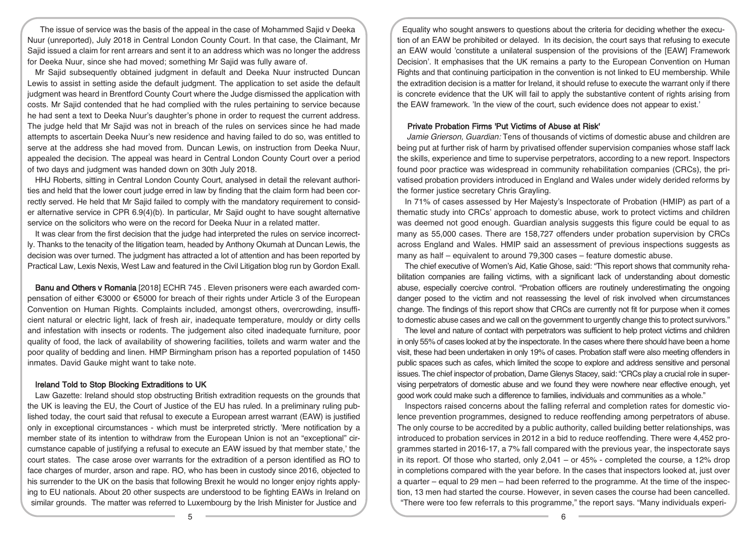The issue of service was the basis of the appeal in the case of Mohammed Sajid v Deeka Nuur (unreported), July 2018 in Central London County Court. In that case, the Claimant, Mr Sajid issued a claim for rent arrears and sent it to an address which was no longer the address for Deeka Nuur, since she had moved; something Mr Sajid was fully aware of.

Mr Sajid subsequently obtained judgment in default and Deeka Nuur instructed Duncan Lewis to assist in setting aside the default judgment. The application to set aside the default judgment was heard in Brentford County Court where the Judge dismissed the application with costs. Mr Sajid contended that he had complied with the rules pertaining to service because he had sent a text to Deeka Nuur's daughter's phone in order to request the current address. The judge held that Mr Sajid was not in breach of the rules on services since he had made attempts to ascertain Deeka Nuur's new residence and having failed to do so, was entitled to serve at the address she had moved from. Duncan Lewis, on instruction from Deeka Nuur, appealed the decision. The appeal was heard in Central London County Court over a period of two days and judgment was handed down on 30th July 2018.

HHJ Roberts, sitting in Central London County Court, analysed in detail the relevant authorities and held that the lower court judge erred in law by finding that the claim form had been correctly served. He held that Mr Sajid failed to comply with the mandatory requirement to consider alternative service in CPR 6.9(4)(b). In particular, Mr Sajid ought to have sought alternative service on the solicitors who were on the record for Deeka Nuur in a related matter.

It was clear from the first decision that the judge had interpreted the rules on service incorrectly. Thanks to the tenacity of the litigation team, headed by Anthony Okumah at Duncan Lewis, the decision was over turned. The judgment has attracted a lot of attention and has been reported by Practical Law, Lexis Nexis, West Law and featured in the Civil Litigation blog run by Gordon Exall.

Banu and Others v Romania [2018] ECHR 745 . Eleven prisoners were each awarded compensation of either €3000 or €5000 for breach of their rights under Article 3 of the European Convention on Human Rights. Complaints included, amongst others, overcrowding, insufficient natural or electric light, lack of fresh air, inadequate temperature, mouldy or dirty cells and infestation with insects or rodents. The judgement also cited inadequate furniture, poor quality of food, the lack of availability of showering facilities, toilets and warm water and the poor quality of bedding and linen. HMP Birmingham prison has a reported population of 1450 inmates. David Gauke might want to take note.

#### Ireland Told to Stop Blocking Extraditions to UK

Law Gazette: Ireland should stop obstructing British extradition requests on the grounds that the UK is leaving the EU, the Court of Justice of the EU has ruled. In a preliminary ruling published today, the court said that refusal to execute a European arrest warrant (EAW) is justified only in exceptional circumstances - which must be interpreted strictly. 'Mere notification by a member state of its intention to withdraw from the European Union is not an "exceptional" circumstance capable of justifying a refusal to execute an EAW issued by that member state,' the court states. The case arose over warrants for the extradition of a person identified as RO to face charges of murder, arson and rape. RO, who has been in custody since 2016, objected to his surrender to the UK on the basis that following Brexit he would no longer enjoy rights applying to EU nationals. About 20 other suspects are understood to be fighting EAWs in Ireland on similar grounds. The matter was referred to Luxembourg by the Irish Minister for Justice and

Equality who sought answers to questions about the criteria for deciding whether the execution of an EAW be prohibited or delayed. In its decision, the court says that refusing to execute an EAW would 'constitute a unilateral suspension of the provisions of the [EAW] Framework Decision'. It emphasises that the UK remains a party to the European Convention on Human Rights and that continuing participation in the convention is not linked to EU membership. While the extradition decision is a matter for Ireland, it should refuse to execute the warrant only if there is concrete evidence that the UK will fail to apply the substantive content of rights arising from the EAW framework. 'In the view of the court, such evidence does not appear to exist.'

### Private Probation Firms 'Put Victims of Abuse at Risk'

Jamie Grierson, Guardian: Tens of thousands of victims of domestic abuse and children are being put at further risk of harm by privatised offender supervision companies whose staff lack the skills, experience and time to supervise perpetrators, according to a new report. Inspectors found poor practice was widespread in community rehabilitation companies (CRCs), the privatised probation providers introduced in England and Wales under widely derided reforms by the former justice secretary Chris Grayling.

In 71% of cases assessed by Her Majesty's Inspectorate of Probation (HMIP) as part of a thematic study into CRCs' approach to domestic abuse, work to protect victims and children was deemed not good enough. Guardian analysis suggests this figure could be equal to as many as 55,000 cases. There are 158,727 offenders under probation supervision by CRCs across England and Wales. HMIP said an assessment of previous inspections suggests as many as half – equivalent to around 79,300 cases – feature domestic abuse.

The chief executive of Women's Aid, Katie Ghose, said: "This report shows that community rehabilitation companies are failing victims, with a significant lack of understanding about domestic abuse, especially coercive control. "Probation officers are routinely underestimating the ongoing danger posed to the victim and not reassessing the level of risk involved when circumstances change. The findings of this report show that CRCs are currently not fit for purpose when it comes to domestic abuse cases and we call on the government to urgently change this to protect survivors."

The level and nature of contact with perpetrators was sufficient to help protect victims and children in only 55% of cases looked at by the inspectorate. In the cases where there should have been a home visit, these had been undertaken in only 19% of cases. Probation staff were also meeting offenders in public spaces such as cafes, which limited the scope to explore and address sensitive and personal issues. The chief inspector of probation, Dame Glenys Stacey, said: "CRCs play a crucial role in supervising perpetrators of domestic abuse and we found they were nowhere near effective enough, yet good work could make such a difference to families, individuals and communities as a whole."

Inspectors raised concerns about the falling referral and completion rates for domestic violence prevention programmes, designed to reduce reoffending among perpetrators of abuse. The only course to be accredited by a public authority, called building better relationships, was introduced to probation services in 2012 in a bid to reduce reoffending. There were 4,452 programmes started in 2016-17, a 7% fall compared with the previous year, the inspectorate says in its report. Of those who started, only 2,041 – or 45% - completed the course, a 12% drop in completions compared with the year before. In the cases that inspectors looked at, just over a quarter – equal to 29 men – had been referred to the programme. At the time of the inspection, 13 men had started the course. However, in seven cases the course had been cancelled. "There were too few referrals to this programme," the report says. "Many individuals experi-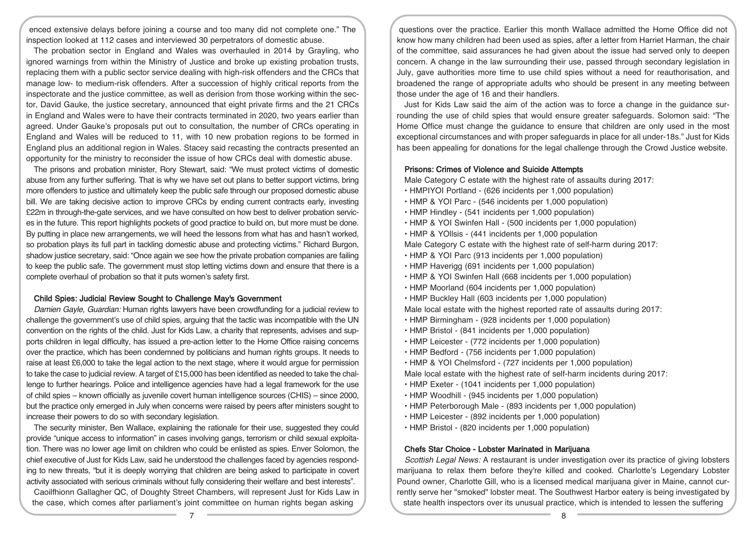enced extensive delays before joining a course and too many did not complete one." The inspection looked at 112 cases and interviewed 30 perpetrators of domestic abuse.

The probation sector in England and Wales was overhauled in 2014 by Grayling, who ignored warnings from within the Ministry of Justice and broke up existing probation trusts, replacing them with a public sector service dealing with high-risk offenders and the CRCs that manage low- to medium-risk offenders. After a succession of highly critical reports from the inspectorate and the justice committee, as well as derision from those working within the sector, David Gauke, the justice secretary, announced that eight private firms and the 21 CRCs in England and Wales were to have their contracts terminated in 2020, two years earlier than agreed. Under Gauke's proposals put out to consultation, the number of CRCs operating in England and Wales will be reduced to 11, with 10 new probation regions to be formed in England plus an additional region in Wales. Stacey said recasting the contracts presented an opportunity for the ministry to reconsider the issue of how CRCs deal with domestic abuse.

The prisons and probation minister, Rory Stewart, said: "We must protect victims of domestic abuse from any further suffering. That is why we have set out plans to better support victims, bring more offenders to justice and ultimately keep the public safe through our proposed domestic abuse bill. We are taking decisive action to improve CRCs by ending current contracts early, investing £22m in through-the-gate services, and we have consulted on how best to deliver probation services in the future. This report highlights pockets of good practice to build on, but more must be done. By putting in place new arrangements, we will heed the lessons from what has and hasn't worked, so probation plays its full part in tackling domestic abuse and protecting victims." Richard Burgon, shadow justice secretary, said: "Once again we see how the private probation companies are failing to keep the public safe. The government must stop letting victims down and ensure that there is a complete overhaul of probation so that it puts women's safety first.

#### Child Spies: Judicial Review Sought to Challenge May's Government

Damien Gayle, Guardian: Human rights lawyers have been crowdfunding for a judicial review to challenge the government's use of child spies, arguing that the tactic was incompatible with the UN convention on the rights of the child. Just for Kids Law, a charity that represents, advises and supports children in legal difficulty, has issued a pre-action letter to the Home Office raising concerns over the practice, which has been condemned by politicians and human rights groups. It needs to raise at least £6,000 to take the legal action to the next stage, where it would argue for permission to take the case to judicial review. A target of £15,000 has been identified as needed to take the challenge to further hearings. Police and intelligence agencies have had a legal framework for the use of child spies – known officially as juvenile covert human intelligence sources (CHIS) – since 2000, but the practice only emerged in July when concerns were raised by peers after ministers sought to increase their powers to do so with secondary legislation.

The security minister, Ben Wallace, explaining the rationale for their use, suggested they could provide "unique access to information" in cases involving gangs, terrorism or child sexual exploitation. There was no lower age limit on children who could be enlisted as spies. Enver Solomon, the chief executive of Just for Kids Law, said he understood the challenges faced by agencies responding to new threats, "but it is deeply worrying that children are being asked to participate in covert activity associated with serious criminals without fully considering their welfare and best interests".

Caoilfhionn Gallagher QC, of Doughty Street Chambers, will represent Just for Kids Law in the case, which comes after parliament's joint committee on human rights began asking

questions over the practice. Earlier this month Wallace admitted the Home Office did not know how many children had been used as spies, after a letter from Harriet Harman, the chair of the committee, said assurances he had given about the issue had served only to deepen concern. A change in the law surrounding their use, passed through secondary legislation in July, gave authorities more time to use child spies without a need for reauthorisation, and broadened the range of appropriate adults who should be present in any meeting between those under the age of 16 and their handlers.

Just for Kids Law said the aim of the action was to force a change in the guidance surrounding the use of child spies that would ensure greater safeguards. Solomon said: "The Home Office must change the guidance to ensure that children are only used in the most exceptional circumstances and with proper safeguards in place for all under-18s." Just for Kids has been appealing for donations for the legal challenge through the Crowd Justice website.

### Prisons: Crimes of Violence and Suicide Attempts

Male Category C estate with the highest rate of assaults during 2017:

- HMPIYOI Portland (626 incidents per 1,000 population)
- HMP & YOI Parc (546 incidents per 1,000 population)
- HMP Hindley (541 incidents per 1,000 population)
- HMP & YOI Swinfen Hall (500 incidents per 1,000 population)
- HMP & YOllsis (441 incidents per 1,000 population

Male Category C estate with the highest rate of self-harm during 2017:

- HMP & YOI Parc (913 incidents per 1,000 population)
- HMP Haverigg (691 incidents per 1,000 population)
- HMP & YOI Swinfen Hall (668 incidents per 1,000 population)
- HMP Moorland (604 incidents per 1,000 population)
- HMP Buckley Hall (603 incidents per 1,000 population)
- Male local estate with the highest reported rate of assaults during 2017:
- HMP Birmingham (928 incidents per 1,000 population)
- HMP Bristol (841 incidents per 1,000 population)
- HMP Leicester (772 incidents per 1,000 population)
- HMP Bedford (756 incidents per 1,000 population)
- HMP & YOI Chelmsford (727 incidents per 1,000 population)

Male local estate with the highest rate of self-harm incidents during 2017:

- HMP Exeter (1041 incidents per 1,000 population)
- HMP Woodhill (945 incidents per 1,000 population)
- HMP Peterborough Male (893 incidents per 1,000 population)
- HMP Leicester (892 incidents per 1,000 population)
- HMP Bristol (820 incidents per 1,000 population)

# Chefs Star Choice - Lobster Marinated in Marijuana

Scottish Legal News: A restaurant is under investigation over its practice of giving lobsters marijuana to relax them before they're killed and cooked. Charlotte's Legendary Lobster Pound owner, Charlotte Gill, who is a licensed medical marijuana giver in Maine, cannot currently serve her "smoked" lobster meat. The Southwest Harbor eatery is being investigated by state health inspectors over its unusual practice, which is intended to lessen the suffering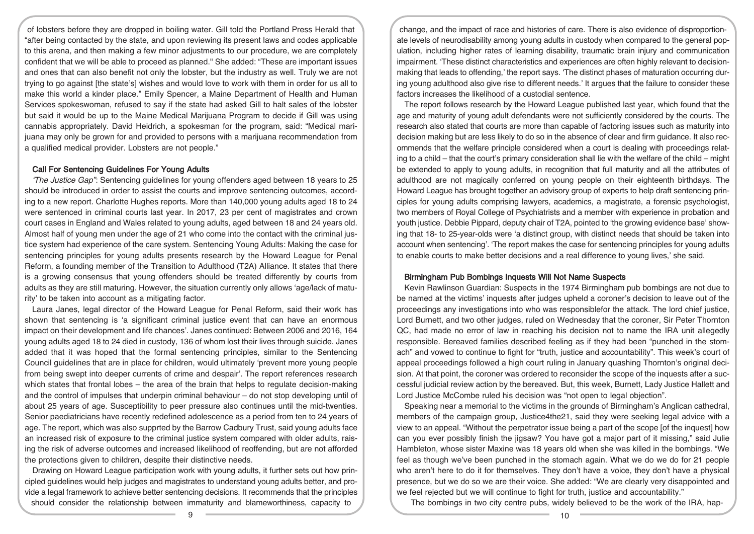of lobsters before they are dropped in boiling water. Gill told the Portland Press Herald that "after being contacted by the state, and upon reviewing its present laws and codes applicable to this arena, and then making a few minor adjustments to our procedure, we are completely confident that we will be able to proceed as planned." She added: "These are important issues and ones that can also benefit not only the lobster, but the industry as well. Truly we are not trying to go against [the state's] wishes and would love to work with them in order for us all to make this world a kinder place." Emily Spencer, a Maine Department of Health and Human Services spokeswoman, refused to say if the state had asked Gill to halt sales of the lobster but said it would be up to the Maine Medical Marijuana Program to decide if Gill was using cannabis appropriately. David Heidrich, a spokesman for the program, said: "Medical marijuana may only be grown for and provided to persons with a marijuana recommendation from a qualified medical provider. Lobsters are not people."

# Call For Sentencing Guidelines For Young Adults

'The Justice Gap": Sentencing guidelines for young offenders aged between 18 years to 25 should be introduced in order to assist the courts and improve sentencing outcomes, according to a new report. Charlotte Hughes reports. More than 140,000 young adults aged 18 to 24 were sentenced in criminal courts last year. In 2017, 23 per cent of magistrates and crown court cases in England and Wales related to young adults, aged between 18 and 24 years old. Almost half of young men under the age of 21 who come into the contact with the criminal justice system had experience of the care system. Sentencing Young Adults: Making the case for sentencing principles for young adults presents research by the Howard League for Penal Reform, a founding member of the Transition to Adulthood (T2A) Alliance. It states that there is a growing consensus that young offenders should be treated differently by courts from adults as they are still maturing. However, the situation currently only allows 'age/lack of maturity' to be taken into account as a mitigating factor.

Laura Janes, legal director of the Howard League for Penal Reform, said their work has shown that sentencing is 'a significant criminal justice event that can have an enormous impact on their development and life chances'. Janes continued: Between 2006 and 2016, 164 young adults aged 18 to 24 died in custody, 136 of whom lost their lives through suicide. Janes added that it was hoped that the formal sentencing principles, similar to the Sentencing Council guidelines that are in place for children, would ultimately 'prevent more young people from being swept into deeper currents of crime and despair'. The report references research which states that frontal lobes – the area of the brain that helps to regulate decision-making and the control of impulses that underpin criminal behaviour – do not stop developing until of about 25 years of age. Susceptibility to peer pressure also continues until the mid-twenties. Senior paediatricians have recently redefined adolescence as a period from ten to 24 years of age. The report, which was also supprted by the Barrow Cadbury Trust, said young adults face an increased risk of exposure to the criminal justice system compared with older adults, raising the risk of adverse outcomes and increased likelihood of reoffending, but are not afforded the protections given to children, despite their distinctive needs.

Drawing on Howard League participation work with young adults, it further sets out how principled guidelines would help judges and magistrates to understand young adults better, and provide a legal framework to achieve better sentencing decisions. It recommends that the principles should consider the relationship between immaturity and blameworthiness, capacity to

change, and the impact of race and histories of care. There is also evidence of disproportionate levels of neurodisability among young adults in custody when compared to the general population, including higher rates of learning disability, traumatic brain injury and communication impairment. 'These distinct characteristics and experiences are often highly relevant to decisionmaking that leads to offending,' the report says. 'The distinct phases of maturation occurring during young adulthood also give rise to different needs.' It argues that the failure to consider these factors increases the likelihood of a custodial sentence.

The report follows research by the Howard League published last year, which found that the age and maturity of young adult defendants were not sufficiently considered by the courts. The research also stated that courts are more than capable of factoring issues such as maturity into decision making but are less likely to do so in the absence of clear and firm guidance. It also recommends that the welfare principle considered when a court is dealing with proceedings relating to a child – that the court's primary consideration shall lie with the welfare of the child – might be extended to apply to young adults, in recognition that full maturity and all the attributes of adulthood are not magically conferred on young people on their eighteenth birthdays. The Howard League has brought together an advisory group of experts to help draft sentencing principles for young adults comprising lawyers, academics, a magistrate, a forensic psychologist, two members of Royal College of Psychiatrists and a member with experience in probation and youth justice. Debbie Pippard, deputy chair of T2A, pointed to 'the growing evidence base' showing that 18- to 25-year-olds were 'a distinct group, with distinct needs that should be taken into account when sentencing'. 'The report makes the case for sentencing principles for young adults to enable courts to make better decisions and a real difference to young lives,' she said.

### Birmingham Pub Bombings Inquests Will Not Name Suspects

Kevin Rawlinson Guardian: Suspects in the 1974 Birmingham pub bombings are not due to be named at the victims' inquests after judges upheld a coroner's decision to leave out of the proceedings any investigations into who was responsiblefor the attack. The lord chief justice, Lord Burnett, and two other judges, ruled on Wednesday that the coroner, Sir Peter Thornton QC, had made no error of law in reaching his decision not to name the IRA unit allegedly responsible. Bereaved families described feeling as if they had been "punched in the stomach" and vowed to continue to fight for "truth, justice and accountability". This week's court of appeal proceedings followed a high court ruling in January quashing Thornton's original decision. At that point, the coroner was ordered to reconsider the scope of the inquests after a successful judicial review action by the bereaved. But, this week, Burnett, Lady Justice Hallett and Lord Justice McCombe ruled his decision was "not open to legal objection".

Speaking near a memorial to the victims in the grounds of Birmingham's Anglican cathedral, members of the campaign group, Justice4the21, said they were seeking legal advice with a view to an appeal. "Without the perpetrator issue being a part of the scope [of the inquest] how can you ever possibly finish the jigsaw? You have got a major part of it missing," said Julie Hambleton, whose sister Maxine was 18 years old when she was killed in the bombings. "We feel as though we've been punched in the stomach again. What we do we do for 21 people who aren't here to do it for themselves. They don't have a voice, they don't have a physical presence, but we do so we are their voice. She added: "We are clearly very disappointed and we feel rejected but we will continue to fight for truth, justice and accountability."

The bombings in two city centre pubs, widely believed to be the work of the IRA, hap-